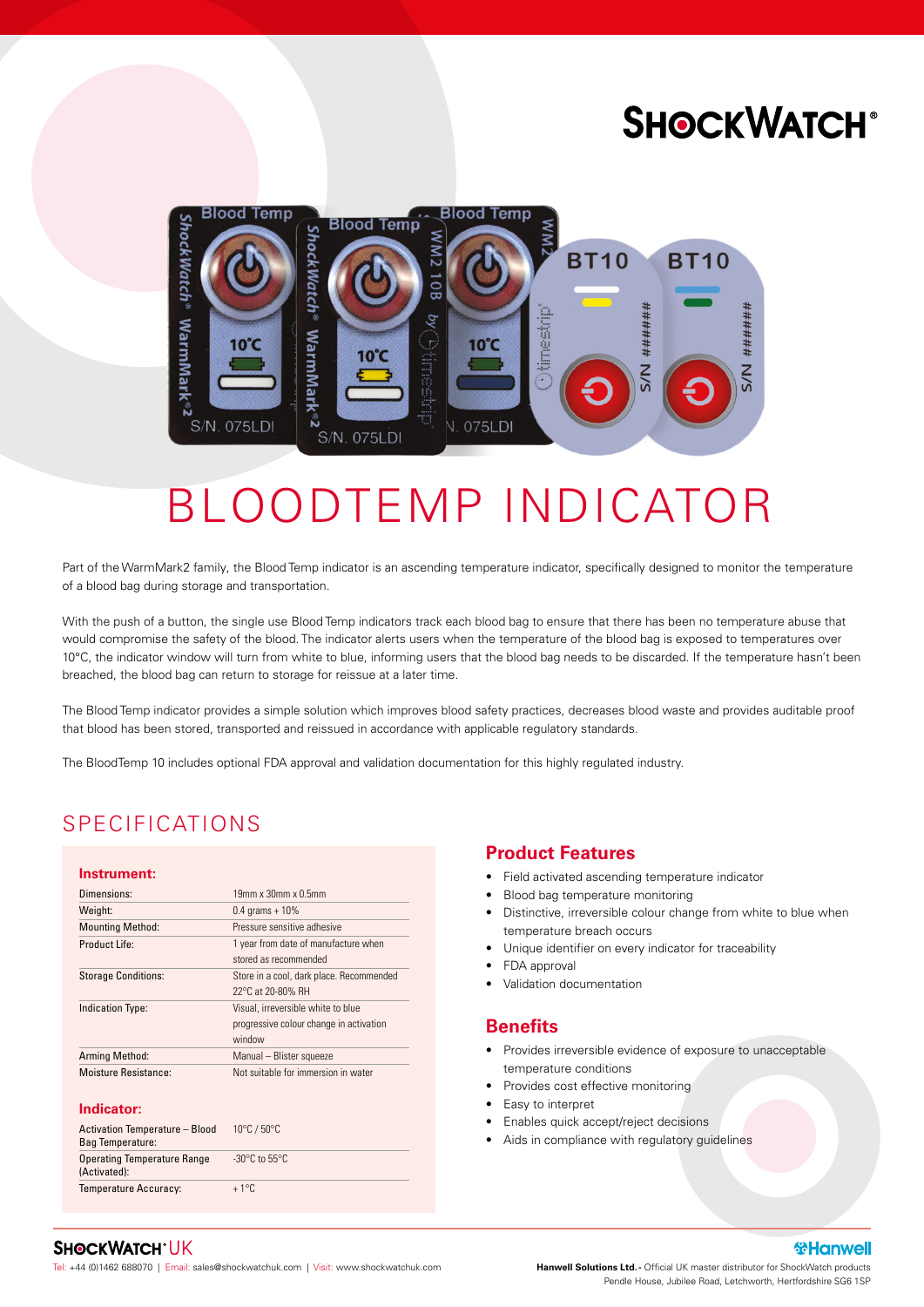## **SHOCKWATCH®**



# BLOODTEMP INDICATOR

Part of the WarmMark2 family, the Blood Temp indicator is an ascending temperature indicator, specifically designed to monitor the temperature of a blood bag during storage and transportation.

With the push of a button, the single use Blood Temp indicators track each blood bag to ensure that there has been no temperature abuse that would compromise the safety of the blood. The indicator alerts users when the temperature of the blood bag is exposed to temperatures over 10°C, the indicator window will turn from white to blue, informing users that the blood bag needs to be discarded. If the temperature hasn't been breached, the blood bag can return to storage for reissue at a later time.

The Blood Temp indicator provides a simple solution which improves blood safety practices, decreases blood waste and provides auditable proof that blood has been stored, transported and reissued in accordance with applicable regulatory standards.

The BloodTemp 10 includes optional FDA approval and validation documentation for this highly regulated industry.

## SPECIFICATIONS

#### **Instrument:**

| Dimensions:                | $19$ mm x $30$ mm x $0.5$ mm                                                            |
|----------------------------|-----------------------------------------------------------------------------------------|
| Weight:                    | $0.4$ grams + $10\%$                                                                    |
| <b>Mounting Method:</b>    | Pressure sensitive adhesive                                                             |
| Product Life:              | 1 year from date of manufacture when<br>stored as recommended                           |
| <b>Storage Conditions:</b> | Store in a cool, dark place. Recommended<br>22°C at 20-80% RH                           |
| <b>Indication Type:</b>    | Visual, irreversible white to blue<br>progressive colour change in activation<br>window |
| <b>Arming Method:</b>      | Manual - Blister squeeze                                                                |
| Moisture Resistance:       | Not suitable for immersion in water                                                     |

#### **Indicator:**

| Activation Temperature - Blood<br>Bag Temperature: | $10^{\circ}$ C / $50^{\circ}$ C    |
|----------------------------------------------------|------------------------------------|
| <b>Operating Temperature Range</b><br>(Activated): | $-30^{\circ}$ C to 55 $^{\circ}$ C |
| <b>Temperature Accuracy:</b>                       | $+1^{\circ}$ C                     |

#### **Product Features**

- Field activated ascending temperature indicator
- Blood bag temperature monitoring
- Distinctive, irreversible colour change from white to blue when temperature breach occurs
- Unique identifier on every indicator for traceability
- FDA approval
- Validation documentation

#### **Benefits**

- Provides irreversible evidence of exposure to unacceptable temperature conditions
- Provides cost effective monitoring
- Easy to interpret
- Enables quick accept/reject decisions
- Aids in compliance with regulatory guidelines

#### **SHOCKWATCH®UK**

Tel: +44 (0)1462 688070 | Email: sales@shockwatchuk.com | Visit: www.shockwatchuk.com

**Hanwell Solutions Ltd. -** Official UK master distributor for ShockWatch products Pendle House, Jubilee Road, Letchworth, Hertfordshire SG6 1SP

 **Hanwell**